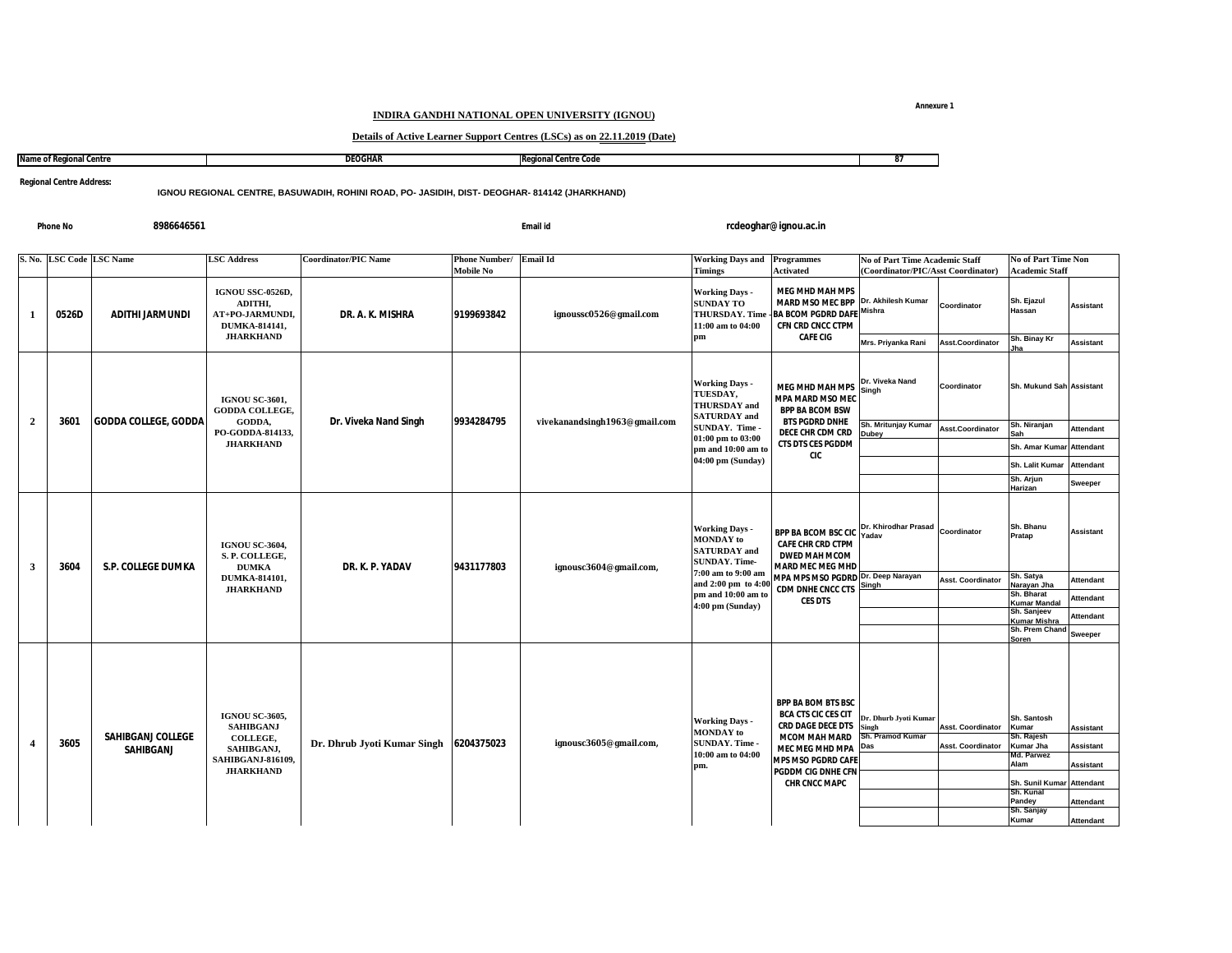## **INDIRA GANDHI NATIONAL OPEN UNIVERSITY (IGNOU)**

## **Details of Active Learner Support Centres (LSCs) as on 22.11.2019 (Date)**

| Name of Reg<br>aional Centre<br>пчан | <b>DEOGHAR</b> | Rea<br><b>∶onal Centre Code</b> | . |
|--------------------------------------|----------------|---------------------------------|---|
|                                      |                |                                 |   |

**Regional Centre Address:**

**IGNOU REGIONAL CENTRE, BASUWADIH, ROHINI ROAD, PO- JASIDIH, DIST- DEOGHAR- 814142 (JHARKHAND)**

**Phone No**

**8986646561 Email id**

**rcdeoghar@ignou.ac.in**

|                         | S. No. LSC Code LSC Name |                                       | <b>LSC Address</b>                                                                                           | <b>Coordinator/PIC Name</b> | Phone Number/ Email Id<br><b>Mobile No</b> |                               | <b>Working Days and Programmes</b><br><b>Timings</b>                                                                                                                           | <b>Activated</b>                                                                                                                                                                                          | <b>No of Part Time Academic Staff</b><br>(Coordinator/PIC/Asst Coordinator) |                                                      | <b>No of Part Time Non</b><br><b>Academic Staff</b>                                      |                                                                       |
|-------------------------|--------------------------|---------------------------------------|--------------------------------------------------------------------------------------------------------------|-----------------------------|--------------------------------------------|-------------------------------|--------------------------------------------------------------------------------------------------------------------------------------------------------------------------------|-----------------------------------------------------------------------------------------------------------------------------------------------------------------------------------------------------------|-----------------------------------------------------------------------------|------------------------------------------------------|------------------------------------------------------------------------------------------|-----------------------------------------------------------------------|
| -1                      | 0526D                    | <b>ADITHI JARMUNDI</b>                | IGNOU SSC-0526D,<br>ADITHI,<br>AT+PO-JARMUNDI,<br>DUMKA-814141,                                              | DR. A. K. MISHRA            | 9199693842                                 | ignoussc0526@gmail.com        | <b>Working Days -</b><br><b>SUNDAY TO</b><br><b>THURSDAY. Time</b><br>11:00 am to 04:00                                                                                        | <b>MEG MHD MAH MPS</b><br><b>MARD MSO MEC BPP</b><br><b>BA BCOM PGDRD DAFE Mishra</b><br>CFN CRD CNCC CTPM                                                                                                | Dr. Akhilesh Kumar                                                          | Coordinator                                          | Sh. Ejazul<br>Hassan                                                                     | <b>Assistant</b>                                                      |
|                         |                          |                                       | <b>JHARKHAND</b>                                                                                             |                             |                                            |                               | pm                                                                                                                                                                             | <b>CAFE CIG</b>                                                                                                                                                                                           | Mrs. Priyanka Rani                                                          | Asst.Coordinator                                     | Sh. Binay Kr<br>Jha                                                                      | <b>Assistant</b>                                                      |
|                         | 3601                     |                                       | <b>IGNOU SC-3601,</b><br>GODDA COLLEGE,                                                                      |                             |                                            |                               | <b>Working Days -</b><br>TUESDAY,<br><b>THURSDAY</b> and<br><b>SATURDAY</b> and                                                                                                | <b>MEG MHD MAH MPS</b><br>MPA MARD MSO MEC<br><b>BPP BA BCOM BSW</b>                                                                                                                                      | Dr. Viveka Nand<br>Singh                                                    | Coordinator                                          | Sh. Mukund Sah Assistant                                                                 |                                                                       |
| $\overline{2}$          |                          | <b>GODDA COLLEGE, GODDA</b>           | GODDA,<br>PO-GODDA-814133,                                                                                   | Dr. Viveka Nand Singh       | 9934284795                                 | vivekanandsingh1963@gmail.com | SUNDAY. Time -<br>01:00 pm to 03:00                                                                                                                                            | <b>BTS PGDRD DNHE</b><br>DECE CHR CDM CRD                                                                                                                                                                 | Sh. Mritunjay Kumar<br><b>Jubey</b>                                         | Asst.Coordinator                                     | Sh. Niranjan                                                                             | <b>Attendant</b>                                                      |
|                         |                          |                                       | <b>JHARKHAND</b>                                                                                             |                             |                                            |                               | pm and 10:00 am to<br>04:00 pm (Sunday)                                                                                                                                        | <b>CTS DTS CES PGDDM</b><br><b>CIC</b>                                                                                                                                                                    |                                                                             |                                                      | Sh. Amar Kumar                                                                           | <b>Attendant</b>                                                      |
|                         |                          |                                       |                                                                                                              |                             |                                            |                               |                                                                                                                                                                                |                                                                                                                                                                                                           |                                                                             |                                                      | Sh. Lalit Kumar<br>Sh. Arjun                                                             | <b>Attendant</b>                                                      |
|                         |                          |                                       |                                                                                                              |                             |                                            |                               |                                                                                                                                                                                |                                                                                                                                                                                                           |                                                                             |                                                      | Harizan                                                                                  | Sweeper                                                               |
| $\overline{\mathbf{3}}$ | 3604                     | <b>S.P. COLLEGE DUMKA</b>             | <b>IGNOU SC-3604.</b><br>S.P. COLLEGE,<br><b>DUMKA</b><br>DUMKA-814101,<br><b>JHARKHAND</b>                  | DR. K. P. YADAV             | 9431177803                                 | ignousc3604@gmail.com,        | <b>Working Days -</b><br><b>MONDAY</b> to<br><b>SATURDAY</b> and<br><b>SUNDAY. Time-</b><br>7:00 am to 9:00 am<br>and 2:00 pm to 4:0<br>pm and 10:00 am to<br>4:00 pm (Sunday) | <b>BPP BA BCOM BSC CIO</b><br><b>CAFE CHR CRD CTPM</b><br><b>DWED MAH MCOM</b><br><b>MARD MEC MEG MHD</b><br>MPA MPS MSO PGDRD Dr. Deep Narayan<br><b>CDM DNHE CNCC CTS</b><br><b>CES DTS</b>             | Dr. Khirodhar Prasad<br>Yadav                                               | Coordinator                                          | Sh. Bhanu<br>Pratap                                                                      | <b>Assistant</b>                                                      |
|                         |                          |                                       |                                                                                                              |                             |                                            |                               |                                                                                                                                                                                |                                                                                                                                                                                                           | Singh                                                                       | <b>Asst. Coordinator</b>                             | Sh. Satya<br>Narayan Jha                                                                 | <b>Attendant</b>                                                      |
|                         |                          |                                       |                                                                                                              |                             |                                            |                               |                                                                                                                                                                                |                                                                                                                                                                                                           |                                                                             |                                                      | Sh. Bharat<br><b>Kumar Mandal</b>                                                        | <b>Attendant</b>                                                      |
|                         |                          |                                       |                                                                                                              |                             |                                            |                               |                                                                                                                                                                                |                                                                                                                                                                                                           |                                                                             |                                                      | Sh. Sanjeev<br>Kumar Mishra<br>Sh. Prem Chand                                            | <b>Attendant</b>                                                      |
|                         |                          |                                       |                                                                                                              |                             |                                            |                               |                                                                                                                                                                                |                                                                                                                                                                                                           |                                                                             |                                                      | Soren                                                                                    | <b>Sweeper</b>                                                        |
| $\overline{4}$          | 3605                     | <b>SAHIBGANJ COLLEGE</b><br>SAHIBGANJ | <b>IGNOU SC-3605,</b><br><b>SAHIBGANJ</b><br>COLLEGE,<br>SAHIBGANJ,<br>SAHIBGANJ-816109,<br><b>JHARKHAND</b> | Dr. Dhrub Jyoti Kumar Singh | 6204375023                                 | ignousc3605@gmail.com,        | <b>Working Days -</b><br><b>MONDAY</b> to<br>SUNDAY. Time -<br>10:00 am to 04:00<br>pm.                                                                                        | <b>BPP BA BOM BTS BSC</b><br><b>BCA CTS CIC CES CIT</b><br><b>CRD DAGE DECE DTS</b><br><b>MCOM MAH MARD</b><br>MEC MEG MHD MPA<br><b>MPS MSO PGDRD CAFE</b><br>PGDDM CIG DNHE CFN<br><b>CHR CNCC MAPC</b> | <b>r. Dhurb Jyoti Kumar</b><br>Singh<br>Sh. Pramod Kumar<br>Das             | <b>Asst. Coordinator</b><br><b>Asst. Coordinator</b> | Sh. Santosh<br>Kumar<br>Sh. Rajesh<br>Kumar Jha<br>Md. Parwez<br>Alam<br>Sh. Sunil Kumar | Assistant<br><b>Assistant</b><br><b>Assistant</b><br><b>Attendant</b> |
|                         |                          |                                       |                                                                                                              |                             |                                            |                               |                                                                                                                                                                                |                                                                                                                                                                                                           |                                                                             |                                                      | Sh. Kunal<br>Pandey                                                                      | <b>Attendant</b>                                                      |
|                         |                          |                                       |                                                                                                              |                             |                                            |                               |                                                                                                                                                                                |                                                                                                                                                                                                           |                                                                             |                                                      | Sh. Sanjay<br>Kumar                                                                      | <b>Attendant</b>                                                      |

**Annexure 1**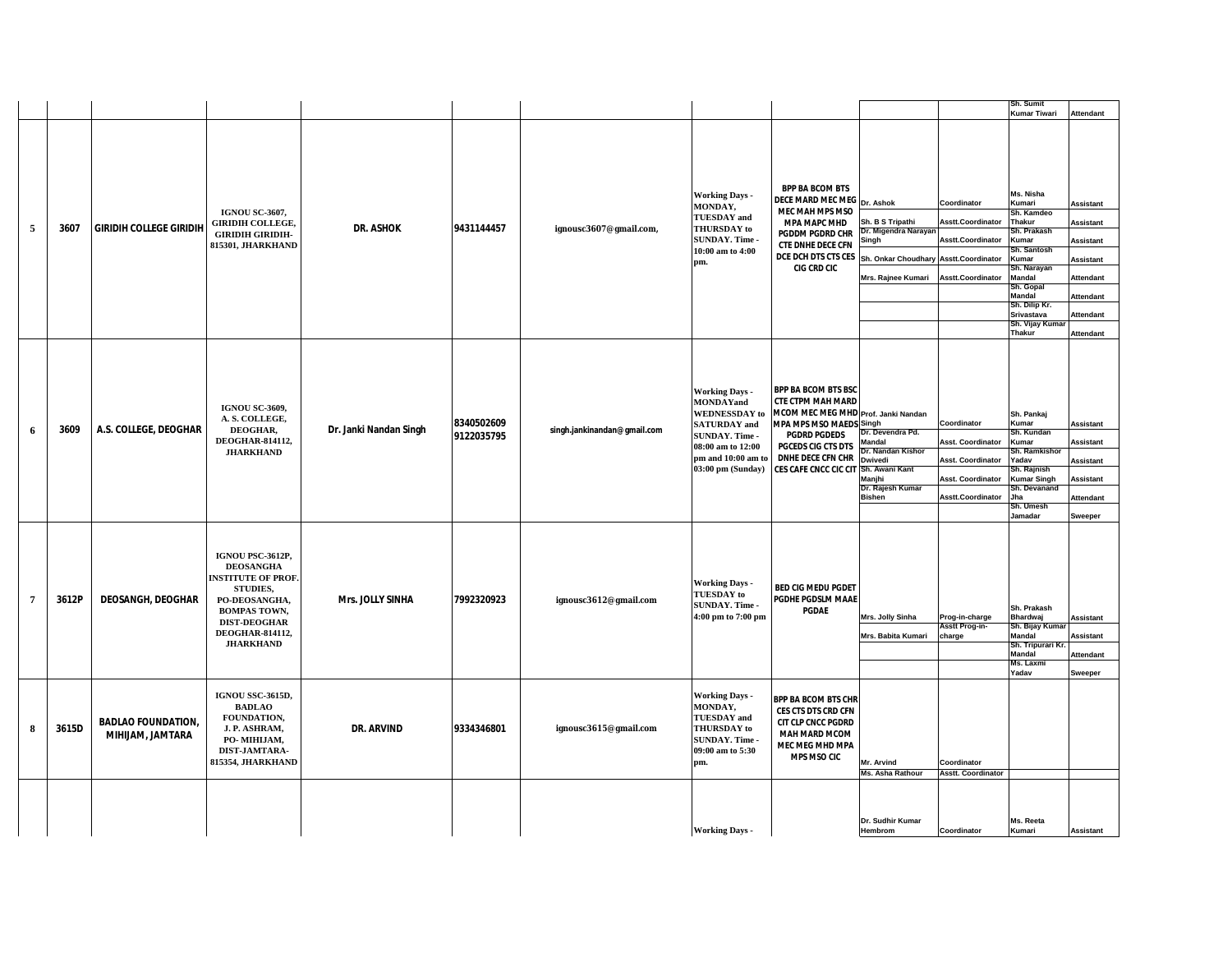|                |       |                                               |                                                                                                                                                                                     |                         |                          |                             |                                                                                                                                                                            |                                                                                                                                                                                                                                                         |                                                                                                                   |                                                                                                        | Sh. Sumit<br><b>Kumar Tiwari</b>                                                                                                                                                                                     | <b>Attendant</b>                                                                                                                               |
|----------------|-------|-----------------------------------------------|-------------------------------------------------------------------------------------------------------------------------------------------------------------------------------------|-------------------------|--------------------------|-----------------------------|----------------------------------------------------------------------------------------------------------------------------------------------------------------------------|---------------------------------------------------------------------------------------------------------------------------------------------------------------------------------------------------------------------------------------------------------|-------------------------------------------------------------------------------------------------------------------|--------------------------------------------------------------------------------------------------------|----------------------------------------------------------------------------------------------------------------------------------------------------------------------------------------------------------------------|------------------------------------------------------------------------------------------------------------------------------------------------|
| 5              | 3607  | <b>GIRIDIH COLLEGE GIRIDIH</b>                | <b>IGNOU SC-3607.</b><br><b>GIRIDIH COLLEGE,</b><br><b>GIRIDIH GIRIDIH-</b><br>815301, JHARKHAND                                                                                    | <b>DR. ASHOK</b>        | 9431144457               | ignousc3607@gmail.com,      | <b>Working Days -</b><br>MONDAY,<br><b>TUESDAY</b> and<br>THURSDAY to<br>SUNDAY. Time -<br>10:00 am to 4:00<br>pm.                                                         | <b>BPP BA BCOM BTS</b><br>DECE MARD MEC MEG Dr. Ashok<br>MEC MAH MPS MSO<br><b>MPA MAPC MHD</b><br><b>PGDDM PGDRD CHR</b><br><b>CTE DNHE DECE CFN</b><br>DCE DCH DTS CTS CES<br><b>CIG CRD CIC</b>                                                      | Sh. B S Tripathi<br>Dr. Migendra Narayar<br>Singh<br>Sh. Onkar Choudhary Asstt. Coordinator<br>Mrs. Rajnee Kumari | Coordinator<br>Asstt.Coordinator<br>Asstt.Coordinator<br>Asstt.Coordinator                             | Ms. Nisha<br>Kumari<br>Sh. Kamdeo<br>Thakur<br>Sh. Prakash<br>Kumar<br>Sh. Santosh<br>Kumar<br>Sh. Narayan<br><b>Mandal</b><br>Sh. Gopal<br>Mandal<br>Sh. Dilip Kr.<br>Srivastava<br>Sh. Vijay Kuma<br><b>Thakur</b> | <b>Assistant</b><br>Assistant<br><b>Assistant</b><br><b>Assistant</b><br>Attendant<br><b>Attendant</b><br><b>Attendant</b><br><b>Attendant</b> |
| 6              | 3609  | A.S. COLLEGE, DEOGHAR                         | <b>IGNOU SC-3609,</b><br>A.S. COLLEGE,<br>DEOGHAR,<br>DEOGHAR-814112,<br><b>JHARKHAND</b>                                                                                           | Dr. Janki Nandan Singh  | 8340502609<br>9122035795 | singh.jankinandan@gmail.com | <b>Working Days -</b><br><b>MONDAYand</b><br><b>WEDNESSDAY</b> to<br><b>SATURDAY</b> and<br>SUNDAY. Time -<br>08:00 am to 12:00<br>pm and 10:00 am to<br>03:00 pm (Sunday) | <b>BPP BA BCOM BTS BSC</b><br><b>CTE CTPM MAH MARD</b><br>MCOM MEC MEG MHD Prof. Janki Nandan<br><b>MPA MPS MSO MAEDS Singh</b><br><b>PGDRD PGDEDS</b><br><b>PGCEDS CIG CTS DTS</b><br><b>DNHE DECE CFN CHR</b><br>CES CAFE CNCC CIC CIT Sh. Awani Kant | Dr. Devendra Pd.<br>Mandal<br>Dr. Nandan Kishor<br>Dwivedi<br>Manjhi<br>Dr. Rajesh Kumar<br><b>Bishen</b>         | Coordinator<br>Asst. Coordinator<br>Asst. Coordinator<br><b>Asst. Coordinator</b><br>Asstt.Coordinator | Sh. Pankaj<br>Kumar<br>Sh. Kundan<br>Kumar<br>Sh. Ramkishor<br>Yadav<br>Sh. Rajnish<br><b>Kumar Singh</b><br>Sh. Devanand<br>Jha<br>Sh. Umesh<br>Jamadar                                                             | Assistant<br>Assistant<br><b>Assistant</b><br><b>Assistant</b><br><b>Attendant</b><br>Sweeper                                                  |
| $\overline{7}$ | 3612P | <b>DEOSANGH, DEOGHAR</b>                      | IGNOU PSC-3612P,<br><b>DEOSANGHA</b><br><b>INSTITUTE OF PROF.</b><br>STUDIES,<br>PO-DEOSANGHA,<br><b>BOMPAS TOWN,</b><br><b>DIST-DEOGHAR</b><br>DEOGHAR-814112,<br><b>JHARKHAND</b> | <b>Mrs. JOLLY SINHA</b> | 7992320923               | ignousc3612@gmail.com       | <b>Working Days -</b><br><b>TUESDAY</b> to<br>SUNDAY. Time -<br>4:00 pm to 7:00 pm                                                                                         | <b>BED CIG MEDU PGDET</b><br>PGDHE PGDSLM MAAE<br>PGDAE                                                                                                                                                                                                 | Mrs. Jolly Sinha<br>Mrs. Babita Kumari                                                                            | Prog-in-charge<br>Asstt Prog-in-<br>charge                                                             | Sh. Prakash<br><b>Bhardwaj</b><br>Sh. Bijay Kuma<br>Mandal<br>Sh. Tripurari Kı<br><b>Mandal</b><br>Ms. Laxmi<br>Yadav                                                                                                | <b>Assistant</b><br>Assistant<br><b>Attendant</b><br><b>Sweeper</b>                                                                            |
| Я              | 3615D | <b>BADLAO FOUNDATION,</b><br>MIHIJAM, JAMTARA | IGNOU SSC-3615D,<br><b>BADLAO</b><br>FOUNDATION,<br>J.P. ASHRAM,<br>PO-MIHIJAM,<br>DIST-JAMTARA-<br>815354, JHARKHAND                                                               | <b>DR. ARVIND</b>       | 9334346801               | ignousc3615@gmail.com       | <b>Working Days -</b><br>MONDAY,<br><b>TUESDAY</b> and<br>THURSDAY to<br>SUNDAY. Time -<br>09:00 am to 5:30<br>pm.                                                         | <b>BPP BA BCOM BTS CHR</b><br><b>CES CTS DTS CRD CFN</b><br>CIT CLP CNCC PGDRD<br><b>MAH MARD MCOM</b><br><b>MEC MEG MHD MPA</b><br><b>MPS MSO CIC</b>                                                                                                  | Mr. Arvind<br>Ms. Asha Rathour                                                                                    | Coordinator<br><b>Asstt. Coordinator</b>                                                               |                                                                                                                                                                                                                      |                                                                                                                                                |
|                |       |                                               |                                                                                                                                                                                     |                         |                          |                             | <b>Working Days -</b>                                                                                                                                                      |                                                                                                                                                                                                                                                         | Dr. Sudhir Kumar<br>Hembrom                                                                                       | Coordinator                                                                                            | Ms. Reeta<br>Kumari                                                                                                                                                                                                  | <b>Assistant</b>                                                                                                                               |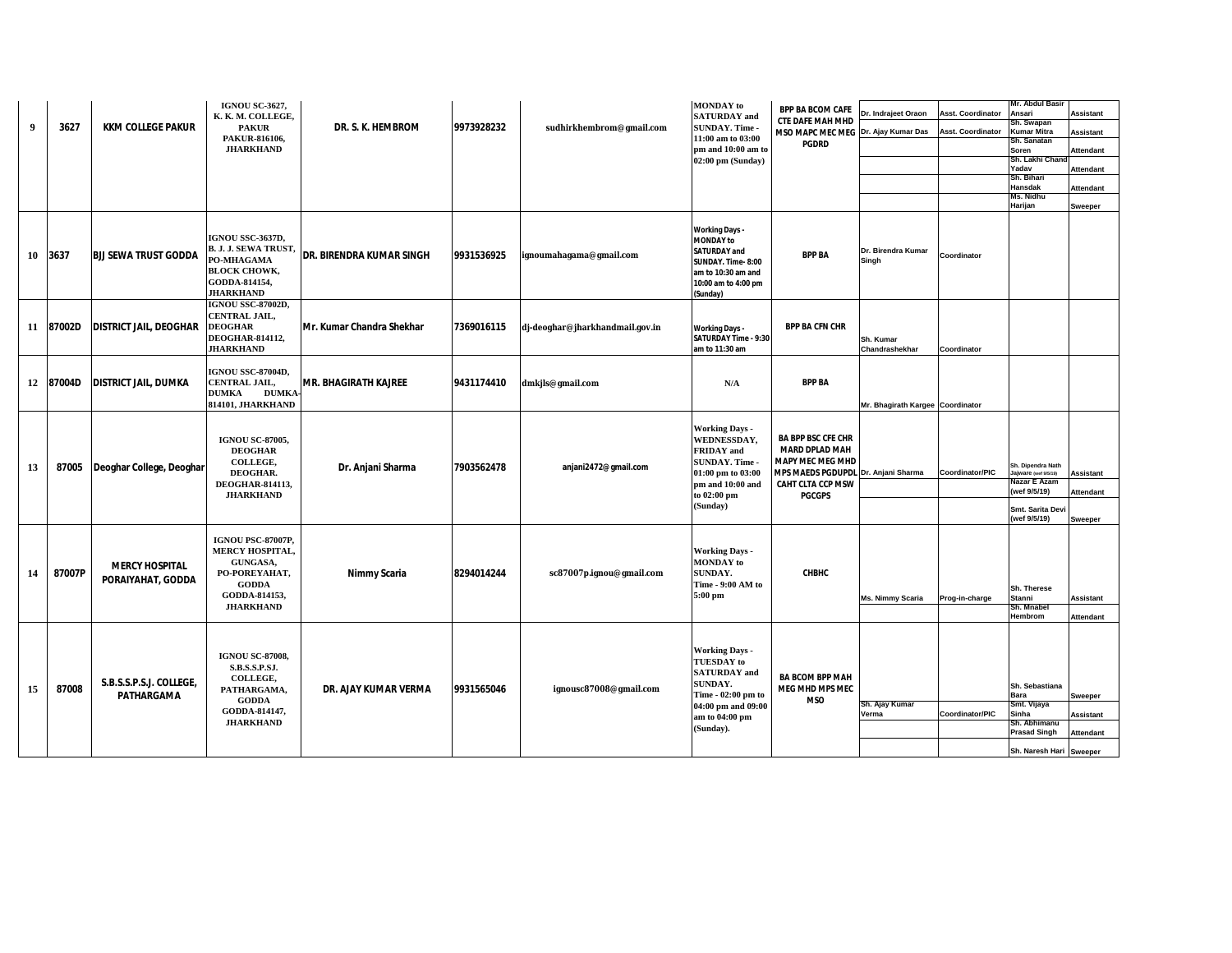| 9  | 3627      | <b>KKM COLLEGE PAKUR</b>                   | <b>IGNOU SC-3627.</b><br>K. K. M. COLLEGE,<br><b>PAKUR</b><br>PAKUR-816106,<br><b>JHARKHAND</b>                                  | DR. S. K. HEMBROM               | 9973928232 | sudhirkhembrom@gmail.com        | <b>MONDAY</b> to<br><b>SATURDAY</b> and<br><b>SUNDAY. Time -</b><br>11:00 am to 03:00<br>pm and 10:00 am to<br>02:00 pm (Sunday)                        | <b>BPP BA BCOM CAFE</b><br><b>CTE DAFE MAH MHD</b><br>MSO MAPC MEC MEG Dr. Ajay Kumar Das<br><b>PGDRD</b>                                                  | Dr. Indrajeet Oraon              | <b>Asst. Coordinator</b><br><b>Asst. Coordinator</b> | Mr. Abdul Basir<br>Ansari<br>ih. Swapan<br>Kumar Mitra<br>Sh. Sanatan<br>Soren<br>Sh. Lakhi Chan<br>Yadav<br>Sh. Bihari<br><b>Hansdak</b><br>Ms. Nidhu<br>Harijan | <b>Assistant</b><br><b>Assistant</b><br>Attendant<br>Attendant<br>Attendant<br>Sweeper |
|----|-----------|--------------------------------------------|----------------------------------------------------------------------------------------------------------------------------------|---------------------------------|------------|---------------------------------|---------------------------------------------------------------------------------------------------------------------------------------------------------|------------------------------------------------------------------------------------------------------------------------------------------------------------|----------------------------------|------------------------------------------------------|-------------------------------------------------------------------------------------------------------------------------------------------------------------------|----------------------------------------------------------------------------------------|
| 10 | 3637      | <b>BJJ SEWA TRUST GODDA</b>                | <b>IGNOU SSC-3637D,</b><br><b>B. J. J. SEWA TRUST,</b><br>PO-MHAGAMA<br><b>BLOCK CHOWK,</b><br>GODDA-814154,<br><b>JHARKHAND</b> | <b>DR. BIRENDRA KUMAR SINGH</b> | 9931536925 | ignoumahagama@gmail.com         | <b>Working Days -</b><br><b>MONDAY to</b><br><b>SATURDAY and</b><br>SUNDAY. Time-8:00<br>am to 10:30 am and<br>10:00 am to 4:00 pm<br>(Sunday)          | <b>BPP BA</b>                                                                                                                                              | Dr. Birendra Kumar<br>Singh      | Coordinator                                          |                                                                                                                                                                   |                                                                                        |
|    | 11 87002D | <b>DISTRICT JAIL, DEOGHAR</b>              | <b>IGNOU SSC-87002D,</b><br>CENTRAL JAIL,<br><b>DEOGHAR</b><br><b>DEOGHAR-814112,</b><br><b>JHARKHAND</b>                        | Mr. Kumar Chandra Shekhar       | 7369016115 | dj-deoghar@jharkhandmail.gov.in | <b>Working Days -</b><br>SATURDAY Time - 9:30<br>am to 11:30 am                                                                                         | <b>BPP BA CFN CHR</b>                                                                                                                                      | Sh. Kumar<br>Chandrashekhar      | Coordinator                                          |                                                                                                                                                                   |                                                                                        |
| 12 | 87004D    | <b>DISTRICT JAIL, DUMKA</b>                | <b>IGNOU SSC-87004D,</b><br>CENTRAL JAIL,<br><b>DUMKA</b><br><b>DUMKA</b><br>814101, JHARKHAND                                   | MR. BHAGIRATH KAJREE            | 9431174410 | dmkjls@gmail.com                | N/A                                                                                                                                                     | <b>BPP BA</b>                                                                                                                                              | Mr. Bhagirath Kargee Coordinator |                                                      |                                                                                                                                                                   |                                                                                        |
| 13 | 87005     | Deoghar College, Deoghar                   | <b>IGNOU SC-87005,</b><br><b>DEOGHAR</b><br>COLLEGE,<br>DEOGHAR.<br><b>DEOGHAR-814113,</b><br><b>JHARKHAND</b>                   | Dr. Anjani Sharma               | 7903562478 | anjani2472@gmail.com            | <b>Working Days -</b><br>WEDNESSDAY,<br><b>FRIDAY</b> and<br><b>SUNDAY. Time -</b><br>01:00 pm to 03:00<br>pm and 10:00 and<br>to 02:00 pm<br>(Sunday)  | <b>BA BPP BSC CFE CHR</b><br><b>MARD DPLAD MAH</b><br><b>MAPY MEC MEG MHD</b><br>MPS MAEDS PGDUPDL Dr. Anjani Sharma<br>CAHT CLTA CCP MSW<br><b>PGCGPS</b> |                                  | Coordinator/PIC                                      | Sh. Dipendra Nath<br>ajware (wef 9/5/19)<br>Nazar E Azam<br>(wef 9/5/19)<br>Smt. Sarita Devi                                                                      | <b>Assistant</b><br><b>Attendant</b>                                                   |
| 14 | 87007P    | <b>MERCY HOSPITAL</b><br>PORAIYAHAT, GODDA | IGNOU PSC-87007P,<br>MERCY HOSPITAL,<br>GUNGASA,<br>PO-POREYAHAT,<br><b>GODDA</b><br>GODDA-814153,<br><b>JHARKHAND</b>           | Nimmy Scaria                    | 8294014244 | sc87007p.ignou@gmail.com        | <b>Working Days -</b><br><b>MONDAY</b> to<br><b>SUNDAY.</b><br>Time - 9:00 AM to<br>5:00 pm                                                             | <b>CHBHC</b>                                                                                                                                               | Ms. Nimmy Scaria                 | Prog-in-charge                                       | (wef 9/5/19)<br>Sh. Therese<br>Stanni<br>Sh. Mnabel<br>Hembrom                                                                                                    | Sweeper<br><b>Assistant</b><br>Attendant                                               |
| 15 | 87008     | S.B.S.S.P.S.J. COLLEGE,<br>PATHARGAMA      | <b>IGNOU SC-87008,</b><br>S.B.S.S.P.SJ.<br>COLLEGE,<br>PATHARGAMA,<br><b>GODDA</b><br>GODDA-814147,<br><b>JHARKHAND</b>          | <b>DR. AJAY KUMAR VERMA</b>     | 9931565046 | ignousc87008@gmail.com          | <b>Working Days -</b><br><b>TUESDAY</b> to<br><b>SATURDAY</b> and<br>SUNDAY.<br>Time - 02:00 pm to<br>04:00 pm and 09:00<br>am to 04:00 pm<br>(Sunday). | <b>BA BCOM BPP MAH</b><br>MEG MHD MPS MEC<br><b>MSO</b>                                                                                                    | Sh. Ajay Kumar<br>Verma          | Coordinator/PIC                                      | Sh. Sebastiana<br>Bara<br>Smt. Vijaya<br>Sinha<br>Sh. Abhimanu<br><b>Prasad Singh</b><br>Sh. Naresh Hari Sweeper                                                  | Sweeper<br>Assistant<br>Attendant                                                      |